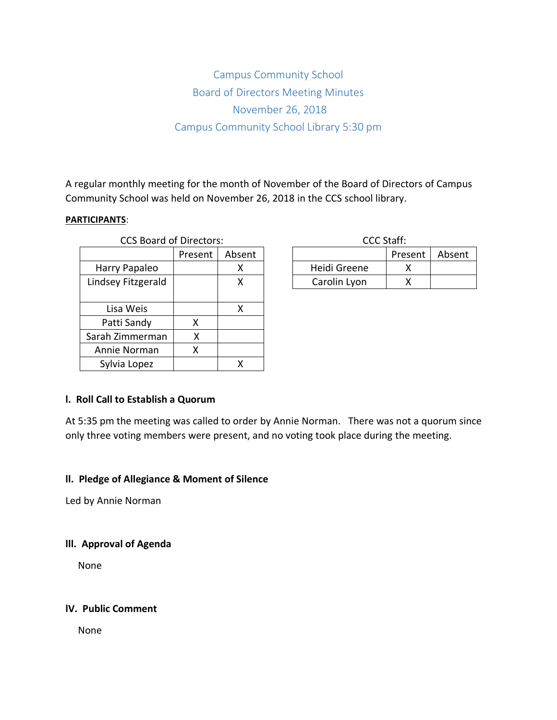# Campus Community School Board of Directors Meeting Minutes November 26, 2018 Campus Community School Library 5:30 pm

A regular monthly meeting for the month of November of the Board of Directors of Campus Community School was held on November 26, 2018 in the CCS school library.

# **PARTICIPANTS**:

| <b>CCS Board of Directors:</b> |         |        | <b>CCC Staff:</b> |     |
|--------------------------------|---------|--------|-------------------|-----|
|                                | Present | Absent |                   | Pre |
| Harry Papaleo                  |         | х      | Heidi Greene      |     |
| Lindsey Fitzgerald             |         | χ      | Carolin Lyon      |     |
|                                |         |        |                   |     |
| Lisa Weis                      |         | X      |                   |     |
| Patti Sandy                    | x       |        |                   |     |
| Sarah Zimmerman                | x       |        |                   |     |
| Annie Norman                   | x       |        |                   |     |
| Sylvia Lopez                   |         | х      |                   |     |

| CCC Staff:   |         |        |  |  |  |
|--------------|---------|--------|--|--|--|
|              | Present | Absent |  |  |  |
| Heidi Greene |         |        |  |  |  |
| Carolin Lyon |         |        |  |  |  |

# **l. Roll Call to Establish a Quorum**

At 5:35 pm the meeting was called to order by Annie Norman. There was not a quorum since only three voting members were present, and no voting took place during the meeting.

## **ll. Pledge of Allegiance & Moment of Silence**

Led by Annie Norman

# **lll. Approval of Agenda**

None

# **lV. Public Comment**

None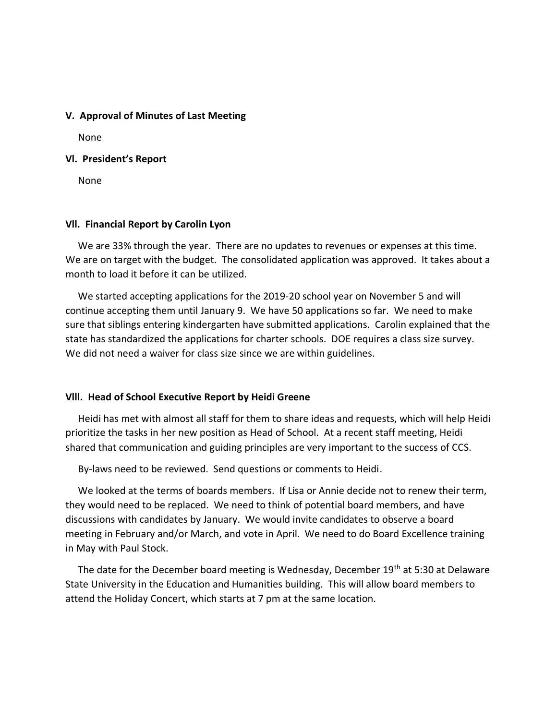## **V. Approval of Minutes of Last Meeting**

None

#### **Vl. President's Report**

None

## **Vll. Financial Report by Carolin Lyon**

 We are 33% through the year. There are no updates to revenues or expenses at this time. We are on target with the budget. The consolidated application was approved. It takes about a month to load it before it can be utilized.

 We started accepting applications for the 2019-20 school year on November 5 and will continue accepting them until January 9. We have 50 applications so far. We need to make sure that siblings entering kindergarten have submitted applications. Carolin explained that the state has standardized the applications for charter schools. DOE requires a class size survey. We did not need a waiver for class size since we are within guidelines.

#### **Vlll. Head of School Executive Report by Heidi Greene**

 Heidi has met with almost all staff for them to share ideas and requests, which will help Heidi prioritize the tasks in her new position as Head of School. At a recent staff meeting, Heidi shared that communication and guiding principles are very important to the success of CCS.

By-laws need to be reviewed. Send questions or comments to Heidi.

 We looked at the terms of boards members. If Lisa or Annie decide not to renew their term, they would need to be replaced. We need to think of potential board members, and have discussions with candidates by January. We would invite candidates to observe a board meeting in February and/or March, and vote in April. We need to do Board Excellence training in May with Paul Stock.

The date for the December board meeting is Wednesday, December 19<sup>th</sup> at 5:30 at Delaware State University in the Education and Humanities building. This will allow board members to attend the Holiday Concert, which starts at 7 pm at the same location.